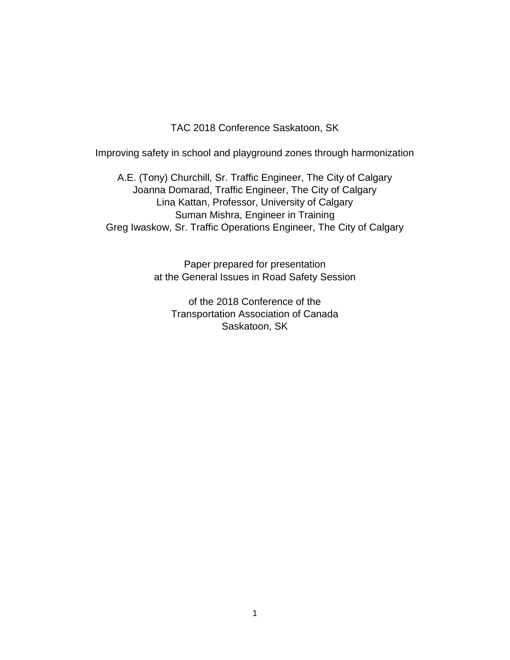TAC 2018 Conference Saskatoon, SK

Improving safety in school and playground zones through harmonization

A.E. (Tony) Churchill, Sr. Traffic Engineer, The City of Calgary Joanna Domarad, Traffic Engineer, The City of Calgary Lina Kattan, Professor, University of Calgary Suman Mishra, Engineer in Training Greg Iwaskow, Sr. Traffic Operations Engineer, The City of Calgary

> Paper prepared for presentation at the General Issues in Road Safety Session

of the 2018 Conference of the Transportation Association of Canada Saskatoon, SK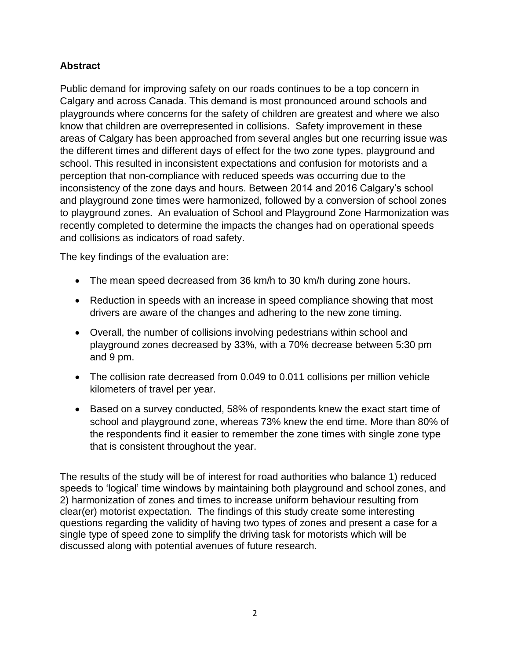## **Abstract**

Public demand for improving safety on our roads continues to be a top concern in Calgary and across Canada. This demand is most pronounced around schools and playgrounds where concerns for the safety of children are greatest and where we also know that children are overrepresented in collisions. Safety improvement in these areas of Calgary has been approached from several angles but one recurring issue was the different times and different days of effect for the two zone types, playground and school. This resulted in inconsistent expectations and confusion for motorists and a perception that non-compliance with reduced speeds was occurring due to the inconsistency of the zone days and hours. Between 2014 and 2016 Calgary's school and playground zone times were harmonized, followed by a conversion of school zones to playground zones. An evaluation of School and Playground Zone Harmonization was recently completed to determine the impacts the changes had on operational speeds and collisions as indicators of road safety.

The key findings of the evaluation are:

- The mean speed decreased from 36 km/h to 30 km/h during zone hours.
- Reduction in speeds with an increase in speed compliance showing that most drivers are aware of the changes and adhering to the new zone timing.
- Overall, the number of collisions involving pedestrians within school and playground zones decreased by 33%, with a 70% decrease between 5:30 pm and 9 pm.
- The collision rate decreased from 0.049 to 0.011 collisions per million vehicle kilometers of travel per year.
- Based on a survey conducted, 58% of respondents knew the exact start time of school and playground zone, whereas 73% knew the end time. More than 80% of the respondents find it easier to remember the zone times with single zone type that is consistent throughout the year.

The results of the study will be of interest for road authorities who balance 1) reduced speeds to 'logical' time windows by maintaining both playground and school zones, and 2) harmonization of zones and times to increase uniform behaviour resulting from clear(er) motorist expectation. The findings of this study create some interesting questions regarding the validity of having two types of zones and present a case for a single type of speed zone to simplify the driving task for motorists which will be discussed along with potential avenues of future research.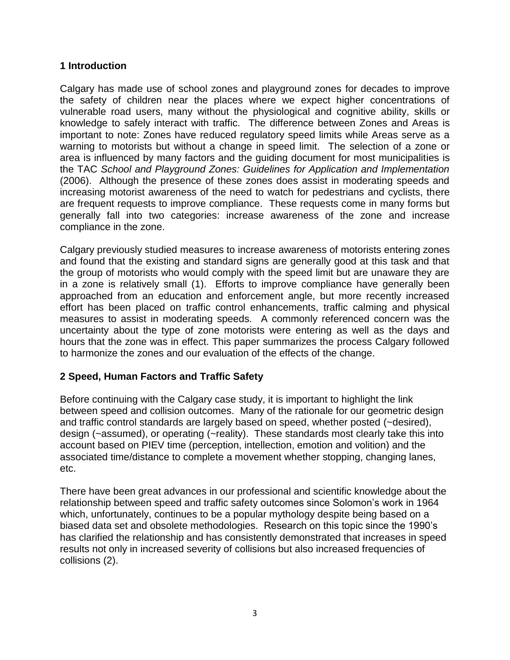### **1 Introduction**

Calgary has made use of school zones and playground zones for decades to improve the safety of children near the places where we expect higher concentrations of vulnerable road users, many without the physiological and cognitive ability, skills or knowledge to safely interact with traffic. The difference between Zones and Areas is important to note: Zones have reduced regulatory speed limits while Areas serve as a warning to motorists but without a change in speed limit. The selection of a zone or area is influenced by many factors and the guiding document for most municipalities is the TAC *School and Playground Zones: Guidelines for Application and Implementation* (2006). Although the presence of these zones does assist in moderating speeds and increasing motorist awareness of the need to watch for pedestrians and cyclists, there are frequent requests to improve compliance. These requests come in many forms but generally fall into two categories: increase awareness of the zone and increase compliance in the zone.

Calgary previously studied measures to increase awareness of motorists entering zones and found that the existing and standard signs are generally good at this task and that the group of motorists who would comply with the speed limit but are unaware they are in a zone is relatively small (1). Efforts to improve compliance have generally been approached from an education and enforcement angle, but more recently increased effort has been placed on traffic control enhancements, traffic calming and physical measures to assist in moderating speeds. A commonly referenced concern was the uncertainty about the type of zone motorists were entering as well as the days and hours that the zone was in effect. This paper summarizes the process Calgary followed to harmonize the zones and our evaluation of the effects of the change.

## **2 Speed, Human Factors and Traffic Safety**

Before continuing with the Calgary case study, it is important to highlight the link between speed and collision outcomes. Many of the rationale for our geometric design and traffic control standards are largely based on speed, whether posted (~desired), design (~assumed), or operating (~reality). These standards most clearly take this into account based on PIEV time (perception, intellection, emotion and volition) and the associated time/distance to complete a movement whether stopping, changing lanes, etc.

There have been great advances in our professional and scientific knowledge about the relationship between speed and traffic safety outcomes since Solomon's work in 1964 which, unfortunately, continues to be a popular mythology despite being based on a biased data set and obsolete methodologies. Research on this topic since the 1990's has clarified the relationship and has consistently demonstrated that increases in speed results not only in increased severity of collisions but also increased frequencies of collisions (2).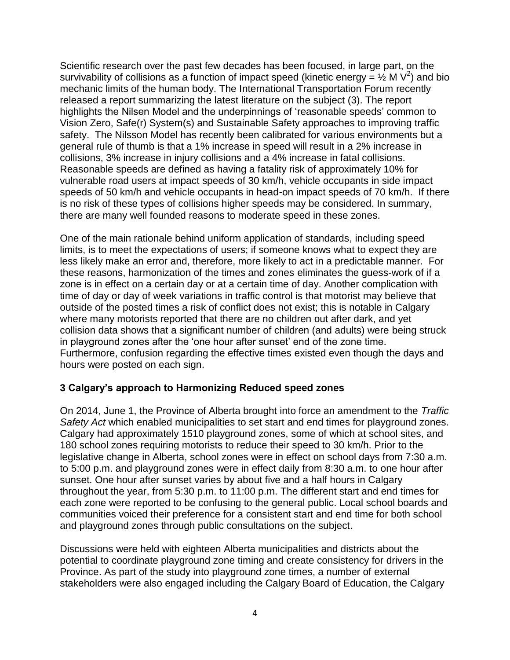Scientific research over the past few decades has been focused, in large part, on the survivability of collisions as a function of impact speed (kinetic energy =  $\frac{1}{2}$  M V<sup>2</sup>) and bio mechanic limits of the human body. The International Transportation Forum recently released a report summarizing the latest literature on the subject (3). The report highlights the Nilsen Model and the underpinnings of 'reasonable speeds' common to Vision Zero, Safe(r) System(s) and Sustainable Safety approaches to improving traffic safety. The Nilsson Model has recently been calibrated for various environments but a general rule of thumb is that a 1% increase in speed will result in a 2% increase in collisions, 3% increase in injury collisions and a 4% increase in fatal collisions. Reasonable speeds are defined as having a fatality risk of approximately 10% for vulnerable road users at impact speeds of 30 km/h, vehicle occupants in side impact speeds of 50 km/h and vehicle occupants in head-on impact speeds of 70 km/h. If there is no risk of these types of collisions higher speeds may be considered. In summary, there are many well founded reasons to moderate speed in these zones.

One of the main rationale behind uniform application of standards, including speed limits, is to meet the expectations of users; if someone knows what to expect they are less likely make an error and, therefore, more likely to act in a predictable manner. For these reasons, harmonization of the times and zones eliminates the guess-work of if a zone is in effect on a certain day or at a certain time of day. Another complication with time of day or day of week variations in traffic control is that motorist may believe that outside of the posted times a risk of conflict does not exist; this is notable in Calgary where many motorists reported that there are no children out after dark, and yet collision data shows that a significant number of children (and adults) were being struck in playground zones after the 'one hour after sunset' end of the zone time. Furthermore, confusion regarding the effective times existed even though the days and hours were posted on each sign.

## **3 Calgary's approach to Harmonizing Reduced speed zones**

On 2014, June 1, the Province of Alberta brought into force an amendment to the *Traffic Safety Act* which enabled municipalities to set start and end times for playground zones. Calgary had approximately 1510 playground zones, some of which at school sites, and 180 school zones requiring motorists to reduce their speed to 30 km/h. Prior to the legislative change in Alberta, school zones were in effect on school days from 7:30 a.m. to 5:00 p.m. and playground zones were in effect daily from 8:30 a.m. to one hour after sunset. One hour after sunset varies by about five and a half hours in Calgary throughout the year, from 5:30 p.m. to 11:00 p.m. The different start and end times for each zone were reported to be confusing to the general public. Local school boards and communities voiced their preference for a consistent start and end time for both school and playground zones through public consultations on the subject.

Discussions were held with eighteen Alberta municipalities and districts about the potential to coordinate playground zone timing and create consistency for drivers in the Province. As part of the study into playground zone times, a number of external stakeholders were also engaged including the Calgary Board of Education, the Calgary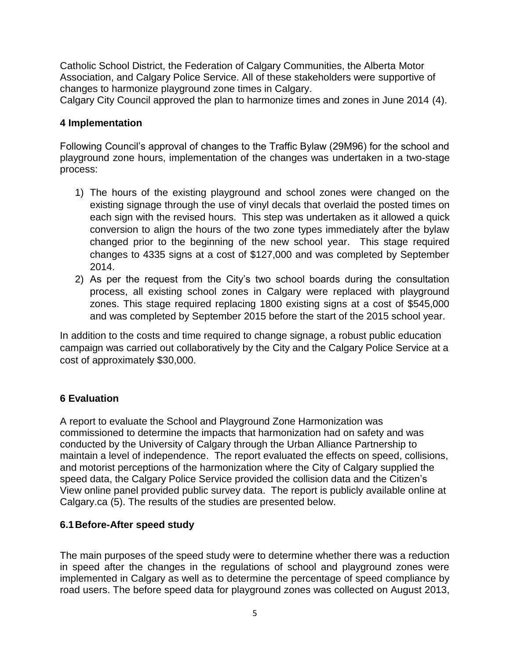Catholic School District, the Federation of Calgary Communities, the Alberta Motor Association, and Calgary Police Service. All of these stakeholders were supportive of changes to harmonize playground zone times in Calgary.

Calgary City Council approved the plan to harmonize times and zones in June 2014 (4).

### **4 Implementation**

Following Council's approval of changes to the Traffic Bylaw (29M96) for the school and playground zone hours, implementation of the changes was undertaken in a two-stage process:

- 1) The hours of the existing playground and school zones were changed on the existing signage through the use of vinyl decals that overlaid the posted times on each sign with the revised hours. This step was undertaken as it allowed a quick conversion to align the hours of the two zone types immediately after the bylaw changed prior to the beginning of the new school year. This stage required changes to 4335 signs at a cost of \$127,000 and was completed by September 2014.
- 2) As per the request from the City's two school boards during the consultation process, all existing school zones in Calgary were replaced with playground zones. This stage required replacing 1800 existing signs at a cost of \$545,000 and was completed by September 2015 before the start of the 2015 school year.

In addition to the costs and time required to change signage, a robust public education campaign was carried out collaboratively by the City and the Calgary Police Service at a cost of approximately \$30,000.

## **6 Evaluation**

A report to evaluate the School and Playground Zone Harmonization was commissioned to determine the impacts that harmonization had on safety and was conducted by the University of Calgary through the Urban Alliance Partnership to maintain a level of independence. The report evaluated the effects on speed, collisions, and motorist perceptions of the harmonization where the City of Calgary supplied the speed data, the Calgary Police Service provided the collision data and the Citizen's View online panel provided public survey data. The report is publicly available online at Calgary.ca (5). The results of the studies are presented below.

### **6.1Before-After speed study**

The main purposes of the speed study were to determine whether there was a reduction in speed after the changes in the regulations of school and playground zones were implemented in Calgary as well as to determine the percentage of speed compliance by road users. The before speed data for playground zones was collected on August 2013,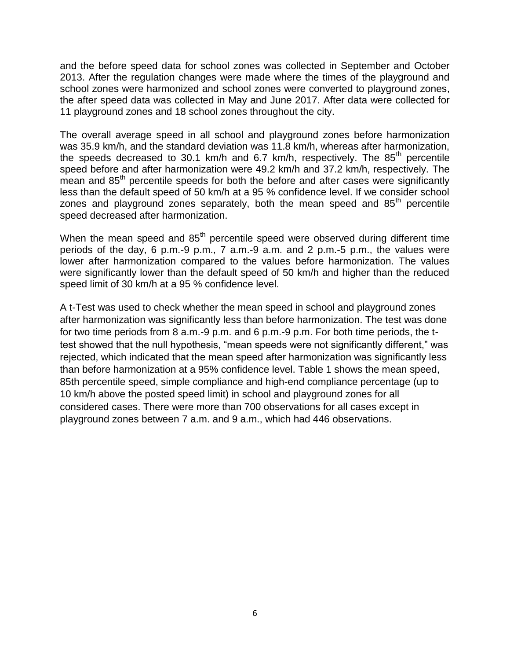and the before speed data for school zones was collected in September and October 2013. After the regulation changes were made where the times of the playground and school zones were harmonized and school zones were converted to playground zones, the after speed data was collected in May and June 2017. After data were collected for 11 playground zones and 18 school zones throughout the city.

The overall average speed in all school and playground zones before harmonization was 35.9 km/h, and the standard deviation was 11.8 km/h, whereas after harmonization, the speeds decreased to 30.1 km/h and 6.7 km/h, respectively. The  $85<sup>th</sup>$  percentile speed before and after harmonization were 49.2 km/h and 37.2 km/h, respectively. The mean and 85<sup>th</sup> percentile speeds for both the before and after cases were significantly less than the default speed of 50 km/h at a 95 % confidence level. If we consider school zones and playground zones separately, both the mean speed and 85<sup>th</sup> percentile speed decreased after harmonization.

When the mean speed and  $85<sup>th</sup>$  percentile speed were observed during different time periods of the day, 6 p.m.-9 p.m., 7 a.m.-9 a.m. and 2 p.m.-5 p.m., the values were lower after harmonization compared to the values before harmonization. The values were significantly lower than the default speed of 50 km/h and higher than the reduced speed limit of 30 km/h at a 95 % confidence level.

A t-Test was used to check whether the mean speed in school and playground zones after harmonization was significantly less than before harmonization. The test was done for two time periods from 8 a.m.-9 p.m. and 6 p.m.-9 p.m. For both time periods, the ttest showed that the null hypothesis, "mean speeds were not significantly different," was rejected, which indicated that the mean speed after harmonization was significantly less than before harmonization at a 95% confidence level. Table 1 shows the mean speed, 85th percentile speed, simple compliance and high-end compliance percentage (up to 10 km/h above the posted speed limit) in school and playground zones for all considered cases. There were more than 700 observations for all cases except in playground zones between 7 a.m. and 9 a.m., which had 446 observations.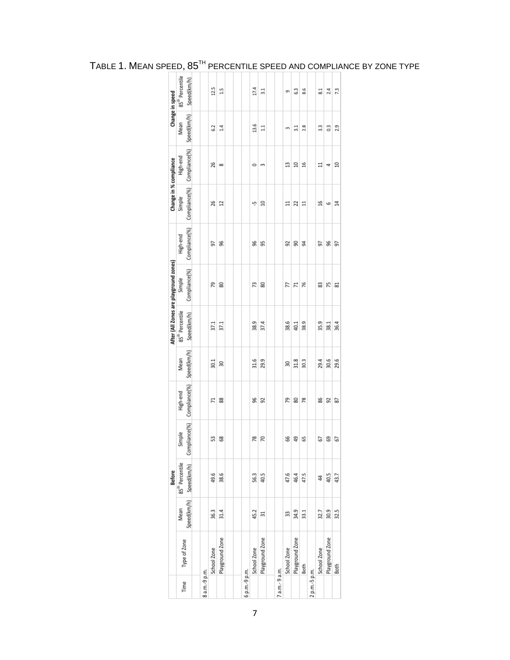|               |                 |      | <b>Before</b>                         |        |               |             |                             | After (All Zones are playground zones) |               | Change in % compliance        |          |                | Change in speed             |
|---------------|-----------------|------|---------------------------------------|--------|---------------|-------------|-----------------------------|----------------------------------------|---------------|-------------------------------|----------|----------------|-----------------------------|
| Time          | Type of Zone    | Mean | 85 <sup>th</sup> Percentile           | Simple | High-end      | Mean        | 85 <sup>th</sup> Percentile | Simple                                 | High-end      | Simple                        | High-end | Mean           | 85 <sup>th</sup> Percentile |
|               |                 |      | Speed(km/h) Speed(km/h) Compliance(%) |        | Compliance(%) | Speed(km/h) | Speed(km/h)                 | Compliance(%)                          | Compliance(%) | Compliance(%)   Compliance(%) |          | Speed(km/h)    | Speed(km/h)                 |
|               |                 |      |                                       |        |               |             |                             |                                        |               |                               |          |                |                             |
| 8 a.m.-9 p.m. |                 |      |                                       |        |               |             |                             |                                        |               |                               |          |                |                             |
|               | School Zone     | 36.3 | 49.6                                  | S      | 71            | 30.1        | 37.1                        | 79                                     | 5             | 26                            | 26       | 2              | 12.5                        |
|               | Playground Zone | 31.4 | 38.6                                  | 8      | 88            | 50          | 37.1                        | 8                                      | 96            | 12                            | oo       | $\frac{4}{11}$ | $\frac{5}{11}$              |
|               |                 |      |                                       |        |               |             |                             |                                        |               |                               |          |                |                             |
|               |                 |      |                                       |        |               |             |                             |                                        |               |                               |          |                |                             |
| 6 p.m.-9 p.m. |                 |      |                                       |        |               |             |                             |                                        |               |                               |          |                |                             |
|               | School Zone     | 45.2 | 56.3                                  | 78     | ஜ             | 31.6        | 38.9                        | 73                                     | g             | ۴                             | 0        | 13.6           | 17.4                        |
|               | Playground Zone | 31   | 40.5                                  | 70     | 92            | 29.9        | 37.4                        | 8                                      | 95            | $\Xi$                         | m        | $\Xi$          | $\frac{1}{2}$               |
|               |                 |      |                                       |        |               |             |                             |                                        |               |                               |          |                |                             |
| a.m.-9 a.m.   |                 |      |                                       |        |               |             |                             |                                        |               |                               |          |                |                             |
|               | School Zone     | 33   | 47.6                                  | 8      | 52            | 30          | 38.6                        | K                                      | 95            | ።                             | Ξ        | m              | ø                           |
|               | Playground Zone | 34.9 | 46.4                                  | 49     | 8             | 31.8        | 40.1                        | 11                                     | g             | 22                            | $\Xi$    | $\frac{1}{2}$  | 63                          |
|               | Both            | 33.1 | 47.5                                  | ۵Ś     | œ             | 30.3        | 38.9                        | 76                                     | ङ्क           | $\Xi$                         | 9t       | 2.8            | 8.6                         |
| 2 p.m.-5 p.m. |                 |      |                                       |        |               |             |                             |                                        |               |                               |          |                |                             |
|               | School Zone     | 32.7 | 4                                     | 67     | 38            | 29.4        | 35.9                        | 33                                     | 5             | $\frac{6}{1}$                 | ።        | 3.3            | 51                          |
|               | Playground Zone | 30.9 | 40.5                                  | 69     | 92            | 30.6        | 38.1                        | 15                                     | 96            | G                             | 4        | 0.3            | 2.4                         |
|               | Both            | 32.5 | 43.7                                  | 5      | 53            | 29.6        | 36.4                        | 53                                     | 5             | 4                             | $\Xi$    | 2.9            | 73                          |
|               |                 |      |                                       |        |               |             |                             |                                        |               |                               |          |                |                             |

# TABLE 1. MEAN SPEED, 85TH PERCENTILE SPEED AND COMPLIANCE BY ZONE TYPE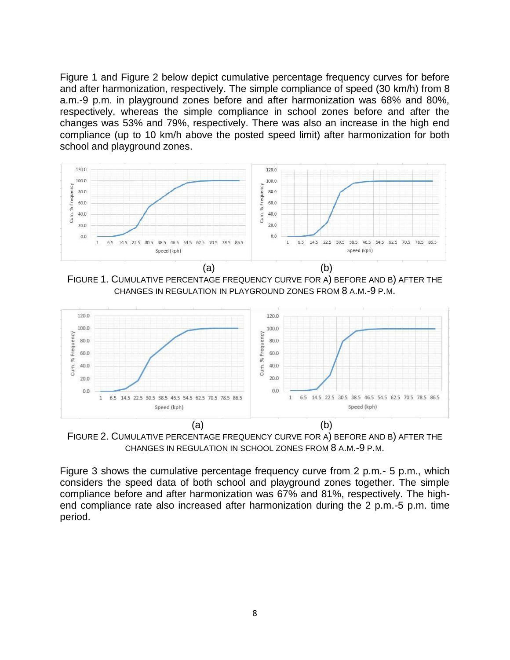Figure 1 and Figure 2 below depict cumulative percentage frequency curves for before and after harmonization, respectively. The simple compliance of speed (30 km/h) from 8 a.m.-9 p.m. in playground zones before and after harmonization was 68% and 80%, respectively, whereas the simple compliance in school zones before and after the changes was 53% and 79%, respectively. There was also an increase in the high end compliance (up to 10 km/h above the posted speed limit) after harmonization for both school and playground zones.



FIGURE 1. CUMULATIVE PERCENTAGE FREQUENCY CURVE FOR A) BEFORE AND B) AFTER THE CHANGES IN REGULATION IN PLAYGROUND ZONES FROM 8 A.M.-9 P.M.



FIGURE 2. CUMULATIVE PERCENTAGE FREQUENCY CURVE FOR A) BEFORE AND B) AFTER THE CHANGES IN REGULATION IN SCHOOL ZONES FROM 8 A.M.-9 P.M.

Figure 3 shows the cumulative percentage frequency curve from 2 p.m.- 5 p.m., which considers the speed data of both school and playground zones together. The simple compliance before and after harmonization was 67% and 81%, respectively. The highend compliance rate also increased after harmonization during the 2 p.m.-5 p.m. time period.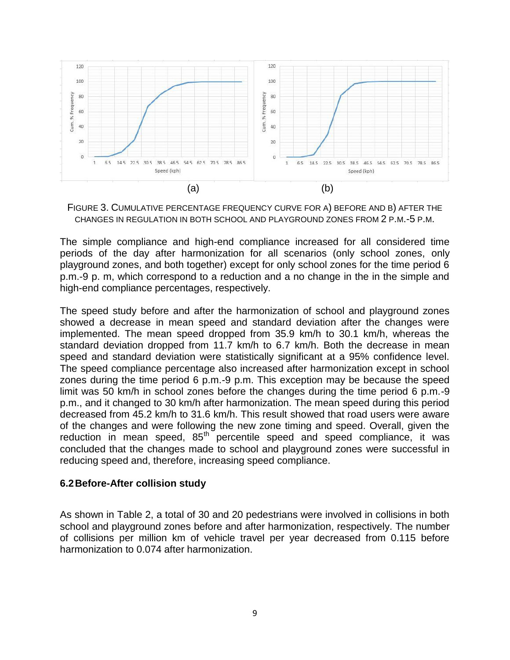

FIGURE 3. CUMULATIVE PERCENTAGE FREQUENCY CURVE FOR A) BEFORE AND B) AFTER THE CHANGES IN REGULATION IN BOTH SCHOOL AND PLAYGROUND ZONES FROM 2 P.M.-5 P.M.

The simple compliance and high-end compliance increased for all considered time periods of the day after harmonization for all scenarios (only school zones, only playground zones, and both together) except for only school zones for the time period 6 p.m.-9 p. m, which correspond to a reduction and a no change in the in the simple and high-end compliance percentages, respectively.

The speed study before and after the harmonization of school and playground zones showed a decrease in mean speed and standard deviation after the changes were implemented. The mean speed dropped from 35.9 km/h to 30.1 km/h, whereas the standard deviation dropped from 11.7 km/h to 6.7 km/h. Both the decrease in mean speed and standard deviation were statistically significant at a 95% confidence level. The speed compliance percentage also increased after harmonization except in school zones during the time period 6 p.m.-9 p.m. This exception may be because the speed limit was 50 km/h in school zones before the changes during the time period 6 p.m.-9 p.m., and it changed to 30 km/h after harmonization. The mean speed during this period decreased from 45.2 km/h to 31.6 km/h. This result showed that road users were aware of the changes and were following the new zone timing and speed. Overall, given the reduction in mean speed,  $85<sup>th</sup>$  percentile speed and speed compliance, it was concluded that the changes made to school and playground zones were successful in reducing speed and, therefore, increasing speed compliance.

### **6.2Before-After collision study**

As shown in Table 2, a total of 30 and 20 pedestrians were involved in collisions in both school and playground zones before and after harmonization, respectively. The number of collisions per million km of vehicle travel per year decreased from 0.115 before harmonization to 0.074 after harmonization.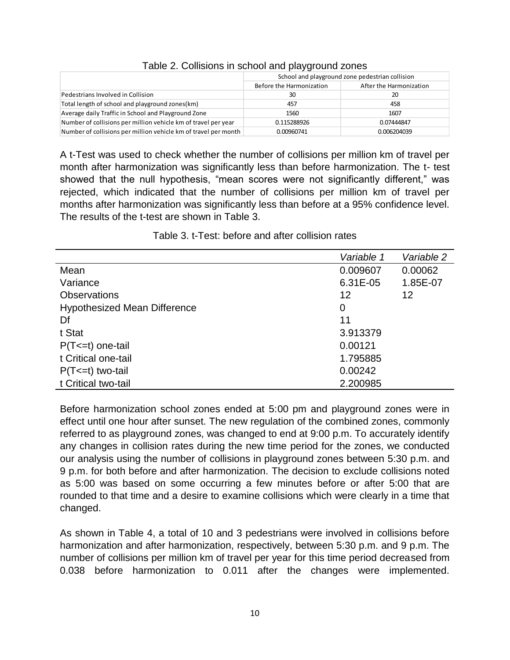|                                                                 |                          | School and playground zone pedestrian collision |
|-----------------------------------------------------------------|--------------------------|-------------------------------------------------|
|                                                                 | Before the Harmonization | After the Harmonization                         |
| Pedestrians Involved in Collision                               | 30                       | 20                                              |
| Total length of school and playground zones(km)                 | 457                      | 458                                             |
| Average daily Traffic in School and Playground Zone             | 1560                     | 1607                                            |
| Number of collisions per million vehicle km of travel per year  | 0.115288926              | 0.07444847                                      |
| Number of collisions per million vehicle km of travel per month | 0.00960741               | 0.006204039                                     |

### Table 2. Collisions in school and playground zones

A t-Test was used to check whether the number of collisions per million km of travel per month after harmonization was significantly less than before harmonization. The t- test showed that the null hypothesis, "mean scores were not significantly different," was rejected, which indicated that the number of collisions per million km of travel per months after harmonization was significantly less than before at a 95% confidence level. The results of the t-test are shown in Table 3.

Table 3. t-Test: before and after collision rates

|                                     | Variable 1 | Variable 2 |
|-------------------------------------|------------|------------|
| Mean                                | 0.009607   | 0.00062    |
| Variance                            | 6.31E-05   | 1.85E-07   |
| <b>Observations</b>                 | 12         | 12         |
| <b>Hypothesized Mean Difference</b> | 0          |            |
| Df                                  | 11         |            |
| t Stat                              | 3.913379   |            |
| $P(T \le t)$ one-tail               | 0.00121    |            |
| t Critical one-tail                 | 1.795885   |            |
| $P(T \le t)$ two-tail               | 0.00242    |            |
| t Critical two-tail                 | 2.200985   |            |

Before harmonization school zones ended at 5:00 pm and playground zones were in effect until one hour after sunset. The new regulation of the combined zones, commonly referred to as playground zones, was changed to end at 9:00 p.m. To accurately identify any changes in collision rates during the new time period for the zones, we conducted our analysis using the number of collisions in playground zones between 5:30 p.m. and 9 p.m. for both before and after harmonization. The decision to exclude collisions noted as 5:00 was based on some occurring a few minutes before or after 5:00 that are rounded to that time and a desire to examine collisions which were clearly in a time that changed.

As shown in Table 4, a total of 10 and 3 pedestrians were involved in collisions before harmonization and after harmonization, respectively, between 5:30 p.m. and 9 p.m. The number of collisions per million km of travel per year for this time period decreased from 0.038 before harmonization to 0.011 after the changes were implemented.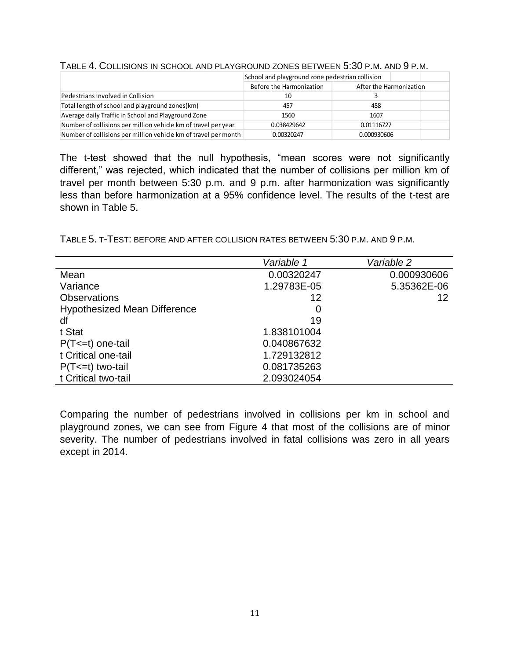#### TABLE 4. COLLISIONS IN SCHOOL AND PLAYGROUND ZONES BETWEEN 5:30 P.M. AND 9 P.M.

|                                                                 | School and playground zone pedestrian collision |                         |  |
|-----------------------------------------------------------------|-------------------------------------------------|-------------------------|--|
|                                                                 | Before the Harmonization                        | After the Harmonization |  |
| Pedestrians Involved in Collision                               | 10                                              |                         |  |
| Total length of school and playground zones(km)                 | 457                                             | 458                     |  |
| Average daily Traffic in School and Playground Zone             | 1560                                            | 1607                    |  |
| Number of collisions per million vehicle km of travel per year  | 0.038429642                                     | 0.01116727              |  |
| Number of collisions per million vehicle km of travel per month | 0.00320247                                      | 0.000930606             |  |

The t-test showed that the null hypothesis, "mean scores were not significantly different," was rejected, which indicated that the number of collisions per million km of travel per month between 5:30 p.m. and 9 p.m. after harmonization was significantly less than before harmonization at a 95% confidence level. The results of the t-test are shown in Table 5.

TABLE 5. T-TEST: BEFORE AND AFTER COLLISION RATES BETWEEN 5:30 P.M. AND 9 P.M.

|                                     | Variable 1  | Variable 2  |
|-------------------------------------|-------------|-------------|
| Mean                                | 0.00320247  | 0.000930606 |
| Variance                            | 1.29783E-05 | 5.35362E-06 |
| <b>Observations</b>                 | 12          | 12          |
| <b>Hypothesized Mean Difference</b> | 0           |             |
| df                                  | 19          |             |
| t Stat                              | 1.838101004 |             |
| $P(T \le t)$ one-tail               | 0.040867632 |             |
| t Critical one-tail                 | 1.729132812 |             |
| $P(T \le t)$ two-tail               | 0.081735263 |             |
| t Critical two-tail                 | 2.093024054 |             |

Comparing the number of pedestrians involved in collisions per km in school and playground zones, we can see from Figure 4 that most of the collisions are of minor severity. The number of pedestrians involved in fatal collisions was zero in all years except in 2014.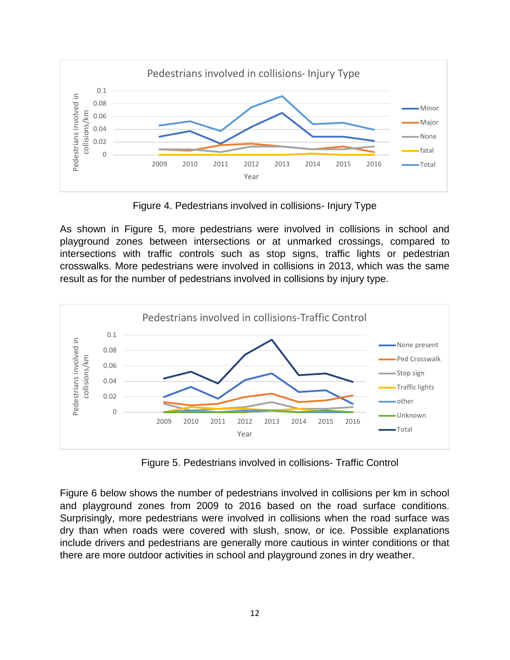

Figure 4. Pedestrians involved in collisions- Injury Type

As shown in Figure 5, more pedestrians were involved in collisions in school and playground zones between intersections or at unmarked crossings, compared to intersections with traffic controls such as stop signs, traffic lights or pedestrian crosswalks. More pedestrians were involved in collisions in 2013, which was the same result as for the number of pedestrians involved in collisions by injury type.



Figure 5. Pedestrians involved in collisions- Traffic Control

Figure 6 below shows the number of pedestrians involved in collisions per km in school and playground zones from 2009 to 2016 based on the road surface conditions. Surprisingly, more pedestrians were involved in collisions when the road surface was dry than when roads were covered with slush, snow, or ice. Possible explanations include drivers and pedestrians are generally more cautious in winter conditions or that there are more outdoor activities in school and playground zones in dry weather.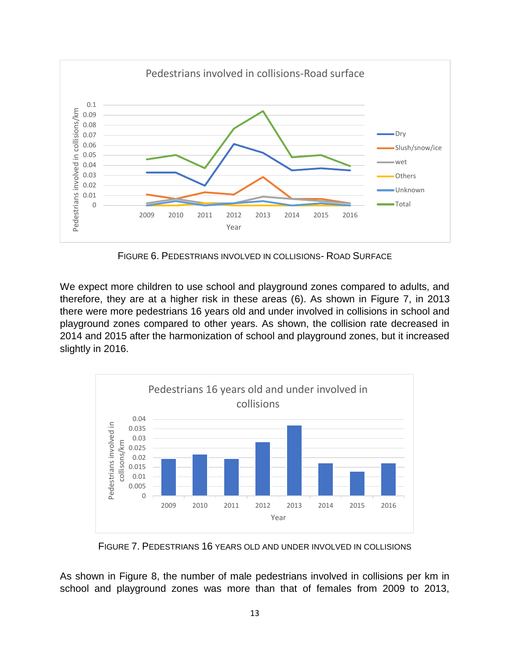

FIGURE 6. PEDESTRIANS INVOLVED IN COLLISIONS- ROAD SURFACE

We expect more children to use school and playground zones compared to adults, and therefore, they are at a higher risk in these areas (6). As shown in Figure 7, in 2013 there were more pedestrians 16 years old and under involved in collisions in school and playground zones compared to other years. As shown, the collision rate decreased in 2014 and 2015 after the harmonization of school and playground zones, but it increased slightly in 2016.



FIGURE 7. PEDESTRIANS 16 YEARS OLD AND UNDER INVOLVED IN COLLISIONS

As shown in Figure 8, the number of male pedestrians involved in collisions per km in school and playground zones was more than that of females from 2009 to 2013,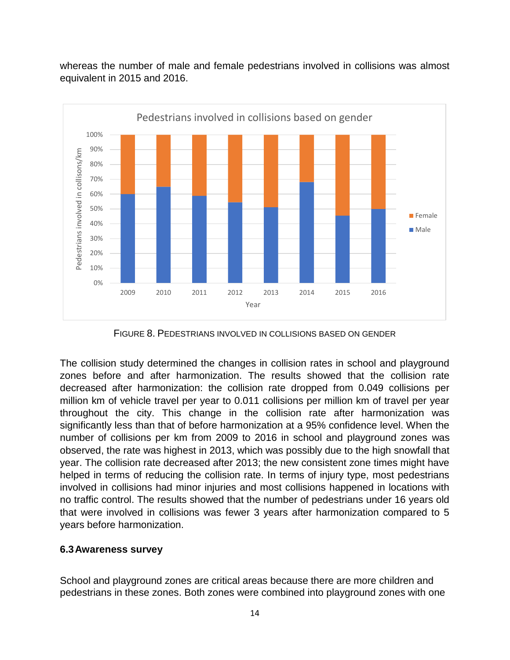

whereas the number of male and female pedestrians involved in collisions was almost equivalent in 2015 and 2016.

FIGURE 8. PEDESTRIANS INVOLVED IN COLLISIONS BASED ON GENDER

The collision study determined the changes in collision rates in school and playground zones before and after harmonization. The results showed that the collision rate decreased after harmonization: the collision rate dropped from 0.049 collisions per million km of vehicle travel per year to 0.011 collisions per million km of travel per year throughout the city. This change in the collision rate after harmonization was significantly less than that of before harmonization at a 95% confidence level. When the number of collisions per km from 2009 to 2016 in school and playground zones was observed, the rate was highest in 2013, which was possibly due to the high snowfall that year. The collision rate decreased after 2013; the new consistent zone times might have helped in terms of reducing the collision rate. In terms of injury type, most pedestrians involved in collisions had minor injuries and most collisions happened in locations with no traffic control. The results showed that the number of pedestrians under 16 years old that were involved in collisions was fewer 3 years after harmonization compared to 5 years before harmonization.

### **6.3Awareness survey**

School and playground zones are critical areas because there are more children and pedestrians in these zones. Both zones were combined into playground zones with one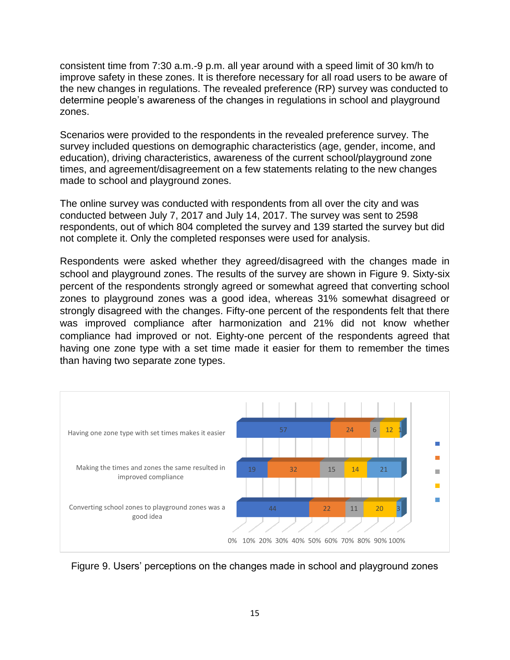consistent time from 7:30 a.m.-9 p.m. all year around with a speed limit of 30 km/h to improve safety in these zones. It is therefore necessary for all road users to be aware of the new changes in regulations. The revealed preference (RP) survey was conducted to determine people's awareness of the changes in regulations in school and playground zones.

Scenarios were provided to the respondents in the revealed preference survey. The survey included questions on demographic characteristics (age, gender, income, and education), driving characteristics, awareness of the current school/playground zone times, and agreement/disagreement on a few statements relating to the new changes made to school and playground zones.

The online survey was conducted with respondents from all over the city and was conducted between July 7, 2017 and July 14, 2017. The survey was sent to 2598 respondents, out of which 804 completed the survey and 139 started the survey but did not complete it. Only the completed responses were used for analysis.

Respondents were asked whether they agreed/disagreed with the changes made in school and playground zones. The results of the survey are shown in Figure 9. Sixty-six percent of the respondents strongly agreed or somewhat agreed that converting school zones to playground zones was a good idea, whereas 31% somewhat disagreed or strongly disagreed with the changes. Fifty-one percent of the respondents felt that there was improved compliance after harmonization and 21% did not know whether compliance had improved or not. Eighty-one percent of the respondents agreed that having one zone type with a set time made it easier for them to remember the times than having two separate zone types.



Figure 9. Users' perceptions on the changes made in school and playground zones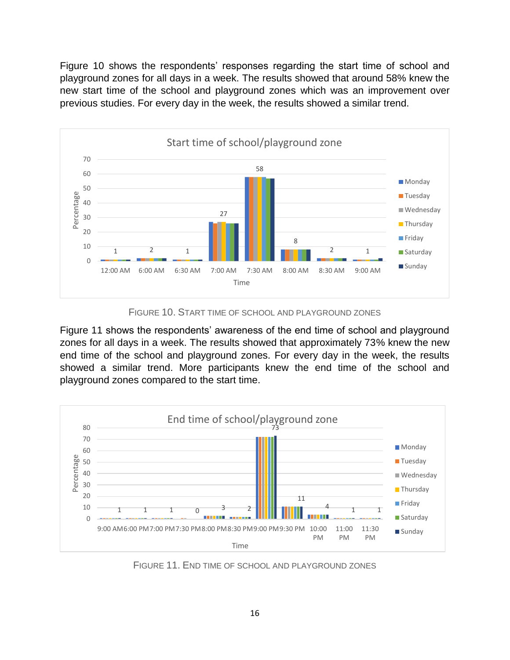Figure 10 shows the respondents' responses regarding the start time of school and playground zones for all days in a week. The results showed that around 58% knew the new start time of the school and playground zones which was an improvement over previous studies. For every day in the week, the results showed a similar trend.



FIGURE 10. START TIME OF SCHOOL AND PLAYGROUND ZONES

Figure 11 shows the respondents' awareness of the end time of school and playground zones for all days in a week. The results showed that approximately 73% knew the new end time of the school and playground zones. For every day in the week, the results showed a similar trend. More participants knew the end time of the school and playground zones compared to the start time.



FIGURE 11. END TIME OF SCHOOL AND PLAYGROUND ZONES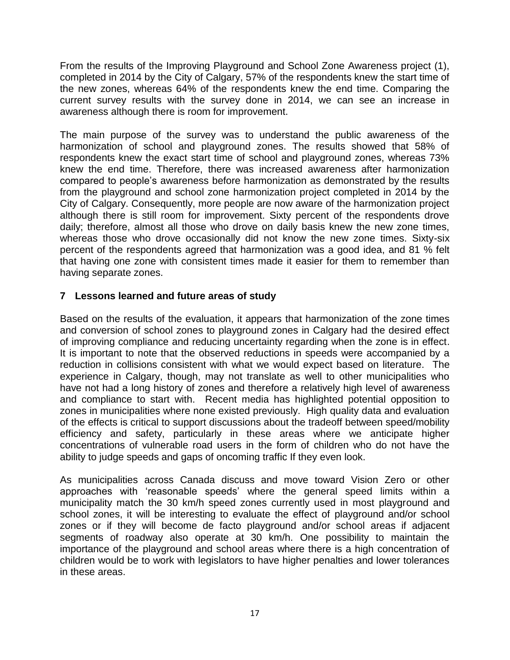From the results of the Improving Playground and School Zone Awareness project (1), completed in 2014 by the City of Calgary, 57% of the respondents knew the start time of the new zones, whereas 64% of the respondents knew the end time. Comparing the current survey results with the survey done in 2014, we can see an increase in awareness although there is room for improvement.

The main purpose of the survey was to understand the public awareness of the harmonization of school and playground zones. The results showed that 58% of respondents knew the exact start time of school and playground zones, whereas 73% knew the end time. Therefore, there was increased awareness after harmonization compared to people's awareness before harmonization as demonstrated by the results from the playground and school zone harmonization project completed in 2014 by the City of Calgary. Consequently, more people are now aware of the harmonization project although there is still room for improvement. Sixty percent of the respondents drove daily; therefore, almost all those who drove on daily basis knew the new zone times, whereas those who drove occasionally did not know the new zone times. Sixty-six percent of the respondents agreed that harmonization was a good idea, and 81 % felt that having one zone with consistent times made it easier for them to remember than having separate zones.

## **7 Lessons learned and future areas of study**

Based on the results of the evaluation, it appears that harmonization of the zone times and conversion of school zones to playground zones in Calgary had the desired effect of improving compliance and reducing uncertainty regarding when the zone is in effect. It is important to note that the observed reductions in speeds were accompanied by a reduction in collisions consistent with what we would expect based on literature. The experience in Calgary, though, may not translate as well to other municipalities who have not had a long history of zones and therefore a relatively high level of awareness and compliance to start with. Recent media has highlighted potential opposition to zones in municipalities where none existed previously. High quality data and evaluation of the effects is critical to support discussions about the tradeoff between speed/mobility efficiency and safety, particularly in these areas where we anticipate higher concentrations of vulnerable road users in the form of children who do not have the ability to judge speeds and gaps of oncoming traffic If they even look.

As municipalities across Canada discuss and move toward Vision Zero or other approaches with 'reasonable speeds' where the general speed limits within a municipality match the 30 km/h speed zones currently used in most playground and school zones, it will be interesting to evaluate the effect of playground and/or school zones or if they will become de facto playground and/or school areas if adjacent segments of roadway also operate at 30 km/h. One possibility to maintain the importance of the playground and school areas where there is a high concentration of children would be to work with legislators to have higher penalties and lower tolerances in these areas.